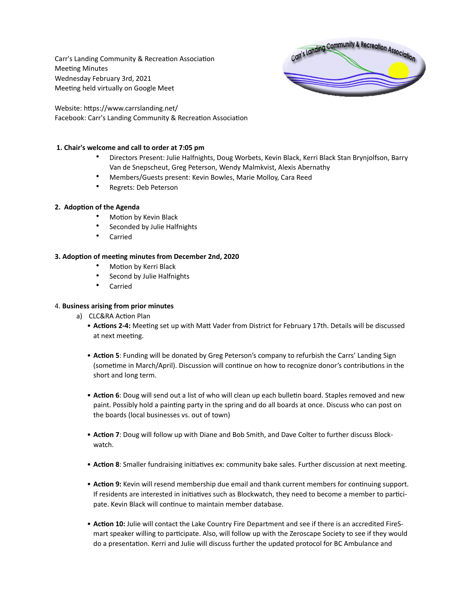Carr's Landing Community & Recreation Association Meeting Minutes Wednesday February 3rd, 2021 Meeting held virtually on Google Meet



Website: https://www.carrslanding.net/ Facebook: Carr's Landing Community & Recreation Association

## **1. Chair's welcome and call to order at 7:05 pm**

- Directors Present: Julie Halfnights, Doug Worbets, Kevin Black, Kerri Black Stan Brynjolfson, Barry Van de Snepscheut, Greg Peterson, Wendy Malmkvist, Alexis Abernathy
- Members/Guests present: Kevin Bowles, Marie Molloy, Cara Reed
- Regrets: Deb Peterson

## **2. Adoption of the Agenda**

- Motion by Kevin Black
- Seconded by Julie Halfnights
- Carried

## **3. Adoption of meeting minutes from December 2nd, 2020**

- Motion by Kerri Black
- Second by Julie Halfnights
- **Carried**

## 4. **Business arising from prior minutes**

- a) CLC&RA Action Plan
	- **Actions 2-4:** Meeting set up with Matt Vader from District for February 17th. Details will be discussed at next meeting.
	- **Action 5**: Funding will be donated by Greg Peterson's company to refurbish the Carrs' Landing Sign (sometime in March/April). Discussion will continue on how to recognize donor's contributions in the short and long term.
	- **Action 6**: Doug will send out a list of who will clean up each bulletin board. Staples removed and new paint. Possibly hold a painting party in the spring and do all boards at once. Discuss who can post on the boards (local businesses vs. out of town)
	- **Action 7**: Doug will follow up with Diane and Bob Smith, and Dave Colter to further discuss Blockwatch.
	- **Action 8**: Smaller fundraising initiatives ex: community bake sales. Further discussion at next meeting.
	- **Action 9:** Kevin will resend membership due email and thank current members for continuing support. If residents are interested in initiatives such as Blockwatch, they need to become a member to participate. Kevin Black will continue to maintain member database.
	- **Action 10:** Julie will contact the Lake Country Fire Department and see if there is an accredited FireSmart speaker willing to participate. Also, will follow up with the Zeroscape Society to see if they would do a presentation. Kerri and Julie will discuss further the updated protocol for BC Ambulance and